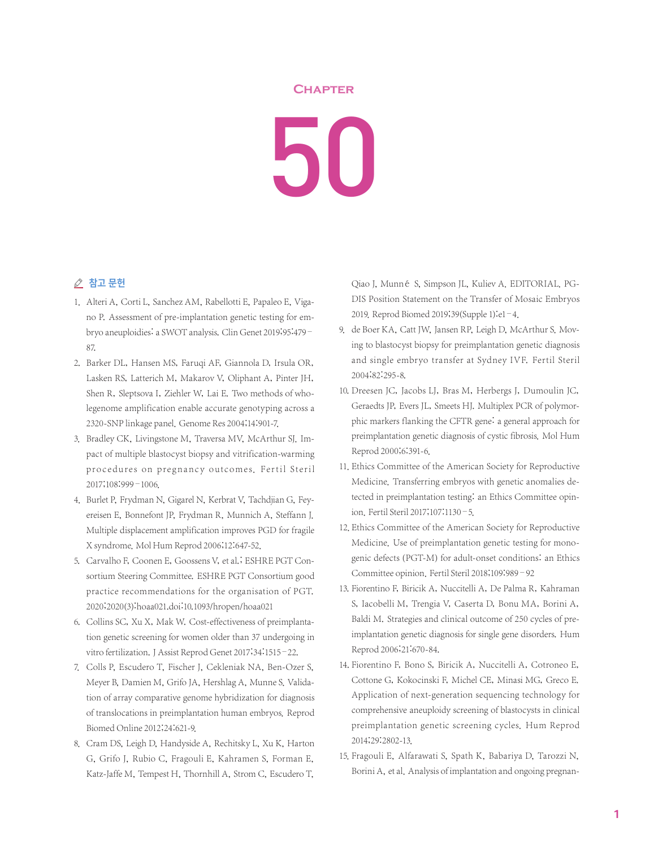## **Chapter**

50

## △ 참고 문헌

- 1. Alteri A, Corti L, Sanchez AM, Rabellotti E, Papaleo E, Vigano P. Assessment of pre-implantation genetic testing for embryo aneuploidies: a SWOT analysis. Clin Genet 2019;95:479– 87.
- 2. Barker DL, Hansen MS, Faruqi AF, Giannola D, Irsula OR, Lasken RS, Latterich M, Makarov V, Oliphant A, Pinter JH, Shen R, Sleptsova I, Ziehler W, Lai E. Two methods of wholegenome amplification enable accurate genotyping across a 2320-SNP linkage panel. Genome Res 2004;14:901-7.
- 3. Bradley CK, Livingstone M, Traversa MV, McArthur SJ. Impact of multiple blastocyst biopsy and vitrification-warming procedures on pregnancy outcomes. Fertil Steril 2017;108:999–1006.
- 4. Burlet P, Frydman N, Gigarel N, Kerbrat V, Tachdjian G, Feyereisen E, Bonnefont JP, Frydman R, Munnich A, Steffann J. Multiple displacement amplification improves PGD for fragile X syndrome. Mol Hum Reprod 2006;12:647-52.
- 5. Carvalho F, Coonen E, Goossens V, et al.; ESHRE PGT Consortium Steering Committee. ESHRE PGT Consortium good practice recommendations for the organisation of PGT. 2020;2020(3):hoaa021.doi:10.1093/hropen/hoaa021
- 6. Collins SC, Xu X, Mak W. Cost-effectiveness of preimplantation genetic screening for women older than 37 undergoing in vitro fertilization.J Assist Reprod Genet 2017;34:1515–22.
- 7. Colls P, Escudero T, Fischer J, Cekleniak NA, Ben-Ozer S, Meyer B, Damien M, Grifo JA, Hershlag A, Munne S. Validation of array comparative genome hybridization for diagnosis of translocations in preimplantation human embryos. Reprod Biomed Online 2012;24:621-9.
- 8. Cram DS, Leigh D, Handyside A, Rechitsky L, Xu K, Harton G, Grifo J, Rubio C, Fragouli E, Kahramen S, Forman E, Katz-Jaffe M, Tempest H, Thornhill A, Strom C, Escudero T,

Qiao J, Munné S, Simpson JL, Kuliev A. EDITORIAL. PG-DIS Position Statement on the Transfer of Mosaic Embryos 2019. Reprod Biomed 2019;39(Supple 1):e1–4.

- 9. de Boer KA, Catt JW, Jansen RP, Leigh D, McArthur S, Moving to blastocyst biopsy for preimplantation genetic diagnosis and single embryo transfer at Sydney IVF. Fertil Steril 2004;82:295-8.
- 10. Dreesen JC, Jacobs LJ, Bras M, Herbergs J, Dumoulin JC, Geraedts JP, Evers JL, Smeets HJ. Multiplex PCR of polymorphic markers flanking the CFTR gene: a general approach for preimplantation genetic diagnosis of cystic fibrosis. Mol Hum Reprod 2000;6:391-6.
- 11. Ethics Committee of the American Society for Reproductive Medicine. Transferring embryos with genetic anomalies detected in preimplantation testing: an Ethics Committee opinion. Fertil Steril 2017;107:1130–5.
- 12. Ethics Committee of the American Society for Reproductive Medicine. Use of preimplantation genetic testing for monogenic defects (PGT-M) for adult-onset conditions: an Ethics Committee opinion. Fertil Steril 2018;109:989–92
- 13. Fiorentino F, Biricik A, Nuccitelli A, De Palma R, Kahraman S, Iacobelli M, Trengia V, Caserta D, Bonu MA, Borini A, Baldi M. Strategies and clinical outcome of 250 cycles of preimplantation genetic diagnosis for single gene disorders. Hum Reprod 2006;21:670-84.
- 14. Fiorentino F, Bono S, Biricik A, Nuccitelli A, Cotroneo E, Cottone G, Kokocinski F, Michel CE, Minasi MG, Greco E. Application of next-generation sequencing technology for comprehensive aneuploidy screening of blastocysts in clinical preimplantation genetic screening cycles. Hum Reprod 2014;29:2802-13.
- 15. Fragouli E, Alfarawati S, Spath K, Babariya D, Tarozzi N, Borini A, et al. Analysis of implantation and ongoing pregnan-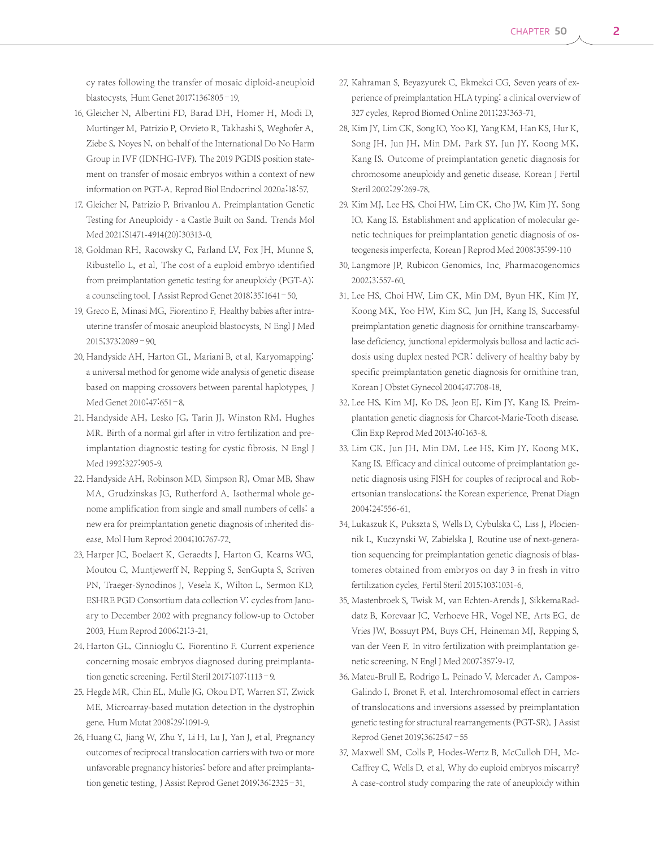cy rates following the transfer of mosaic diploid-aneuploid blastocysts. Hum Genet 2017;136:805–19.

- 16. Gleicher N, Albertini FD, Barad DH, Homer H, Modi D, Murtinger M, Patrizio P, Orvieto R, Takhashi S, Weghofer A, Ziebe S, Noyes N, on behalf of the International Do No Harm Group in IVF (IDNHG-IVF). The 2019 PGDIS position statement on transfer of mosaic embryos within a context of new information on PGT-A. Reprod Biol Endocrinol 2020a;18:57.
- 17. Gleicher N, Patrizio P, Brivanlou A. Preimplantation Genetic Testing for Aneuploidy - a Castle Built on Sand. Trends Mol Med 2021; S1471-4914(20): 30313-0.
- 18. Goldman RH, Racowsky C, Farland LV, Fox JH, Munne S, Ribustello L, et al. The cost of a euploid embryo identified from preimplantation genetic testing for aneuploidy (PGT-A): a counseling tool.J Assist Reprod Genet 2018;35:1641–50.
- 19. Greco E, Minasi MG, Fiorentino F. Healthy babies after intrauterine transfer of mosaic aneuploid blastocysts. N Engl J Med 2015;373:2089–90.
- 20. Handyside AH, Harton GL, Mariani B, et al. Karyomapping: a universal method for genome wide analysis of genetic disease based on mapping crossovers between parental haplotypes. J Med Genet 2010;47:651–8.
- 21. Handyside AH, Lesko JG, Tarin JJ, Winston RM, Hughes MR. Birth of a normal girl after in vitro fertilization and preimplantation diagnostic testing for cystic fibrosis. N Engl J Med 1992;327:905-9.
- 22. Handyside AH, Robinson MD, Simpson RJ, Omar MB, Shaw MA, Grudzinskas JG, Rutherford A. Isothermal whole genome amplification from single and small numbers of cells: a new era for preimplantation genetic diagnosis of inherited disease. Mol Hum Reprod 2004;10:767-72.
- 23. Harper JC, Boelaert K, Geraedts J, Harton G, Kearns WG, Moutou C, Muntjewerff N, Repping S, SenGupta S, Scriven PN, Traeger-Synodinos J, Vesela K, Wilton L, Sermon KD. ESHRE PGD Consortium data collection V: cycles from January to December 2002 with pregnancy follow-up to October 2003. Hum Reprod 2006;21:3-21.
- 24. Harton GL, Cinnioglu C, Fiorentino F. Current experience concerning mosaic embryos diagnosed during preimplantation genetic screening. Fertil Steril 2017;107:1113–9.
- 25. Hegde MR, Chin EL, Mulle JG, Okou DT, Warren ST, Zwick ME. Microarray-based mutation detection in the dystrophin gene. Hum Mutat 2008;29:1091-9.
- 26. Huang C, Jiang W, Zhu Y, Li H, Lu J, Yan J, et al. Pregnancy outcomes of reciprocal translocation carriers with two or more unfavorable pregnancy histories: before and after preimplantation genetic testing. J Assist Reprod Genet 2019;36:2325-31.
- 27. Kahraman S, Beyazyurek C, Ekmekci CG. Seven years of experience of preimplantation HLA typing: a clinical overview of 327 cycles. Reprod Biomed Online 2011;23:363-71.
- 28. Kim JY, Lim CK, Song IO, Yoo KJ, Yang KM, Han KS, Hur K, Song JH, Jun JH, Min DM, Park SY, Jun JY, Koong MK, Kang IS. Outcome of preimplantation genetic diagnosis for chromosome aneuploidy and genetic disease. Korean J Fertil Steril 2002;29:269-78.
- 29. Kim MJ, Lee HS, Choi HW, Lim CK, Cho JW, Kim JY, Song IO, Kang IS. Establishment and application of molecular genetic techniques for preimplantation genetic diagnosis of osteogenesis imperfecta. Korean J Reprod Med 2008;35:99-110
- 30. Langmore JP. Rubicon Genomics, Inc. Pharmacogenomics 2002;3:557-60.
- 31. Lee HS, Choi HW, Lim CK, Min DM, Byun HK, Kim JY, Koong MK, Yoo HW, Kim SC, Jun JH, Kang IS. Successful preimplantation genetic diagnosis for ornithine transcarbamylase deficiency, junctional epidermolysis bullosa and lactic acidosis using duplex nested PCR: delivery of healthy baby by specific preimplantation genetic diagnosis for ornithine tran. Korean J Obstet Gynecol 2004;47:708-18.
- 32. Lee HS, Kim MJ, Ko DS, Jeon EJ, Kim JY, Kang IS. Preimplantation genetic diagnosis for Charcot-Marie-Tooth disease. Clin Exp Reprod Med 2013;40:163-8.
- 33. Lim CK, Jun JH, Min DM, Lee HS, Kim JY, Koong MK, Kang IS. Efficacy and clinical outcome of preimplantation genetic diagnosis using FISH for couples of reciprocal and Robertsonian translocations: the Korean experience. Prenat Diagn 2004;24:556-61.
- 34. Lukaszuk K, Pukszta S, Wells D, Cybulska C, Liss J, Plociennik L, Kuczynski W, Zabielska J. Routine use of next-generation sequencing for preimplantation genetic diagnosis of blastomeres obtained from embryos on day 3 in fresh in vitro fertilization cycles. Fertil Steril 2015;103:1031-6.
- 35. Mastenbroek S, Twisk M, van Echten-Arends J, SikkemaRaddatz B, Korevaar JC, Verhoeve HR, Vogel NE, Arts EG, de Vries JW, Bossuyt PM, Buys CH, Heineman MJ, Repping S, van der Veen F. In vitro fertilization with preimplantation genetic screening. N Engl J Med 2007;357:9-17.
- 36. Mateu-Brull E, Rodrigo L, Peinado V, Mercader A, Campos-Galindo I, Bronet F, et al. Interchromosomal effect in carriers of translocations and inversions assessed by preimplantation genetic testing for structural rearrangements (PGT-SR). J Assist Reprod Genet 2019;36:2547–55
- 37. Maxwell SM, Colls P, Hodes-Wertz B, McCulloh DH, Mc-Caffrey C, Wells D, et al. Why do euploid embryos miscarry? A case-control study comparing the rate of aneuploidy within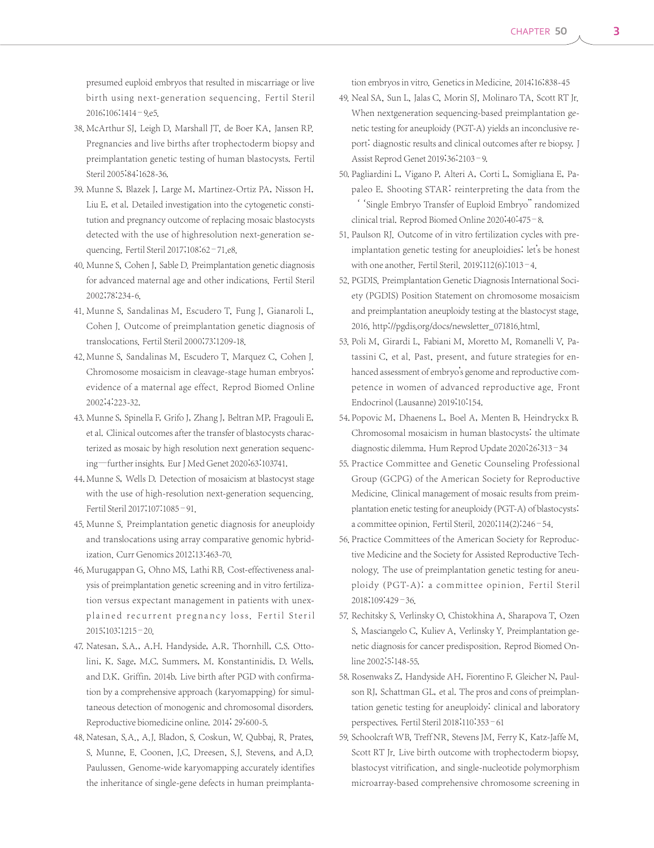presumed euploid embryos that resulted in miscarriage or live birth using next-generation sequencing. Fertil Steril 2016;106:1414–9.e5.

- 38. McArthur SJ, Leigh D, Marshall JT, de Boer KA, Jansen RP. Pregnancies and live births after trophectoderm biopsy and preimplantation genetic testing of human blastocysts. Fertil Steril 2005;84:1628-36.
- 39. Munne S, Blazek J, Large M, Martinez-Ortiz PA, Nisson H, Liu E, et al. Detailed investigation into the cytogenetic constitution and pregnancy outcome of replacing mosaic blastocysts detected with the use of highresolution next-generation sequencing. Fertil Steril 2017;108:62–71.e8.
- 40. Munne S, Cohen J, Sable D. Preimplantation genetic diagnosis for advanced maternal age and other indications. Fertil Steril 2002;78:234-6.
- 41. Munne S, Sandalinas M, Escudero T, Fung J, Gianaroli L, Cohen J. Outcome of preimplantation genetic diagnosis of translocations. Fertil Steril 2000;73:1209-18.
- 42. Munne S, Sandalinas M, Escudero T, Marquez C, Cohen J. Chromosome mosaicism in cleavage-stage human embryos: evidence of a maternal age effect. Reprod Biomed Online 2002;4:223-32.
- 43. Munne S, Spinella F, Grifo J, Zhang J, Beltran MP, Fragouli E, et al. Clinical outcomes after the transfer of blastocysts characterized as mosaic by high resolution next generation sequencing—further insights. Eur J Med Genet 2020;63:103741.
- 44. Munne S, Wells D. Detection of mosaicism at blastocyst stage with the use of high-resolution next-generation sequencing. Fertil Steril 2017;107:1085–91.
- 45. Munne S. Preimplantation genetic diagnosis for aneuploidy and translocations using array comparative genomic hybridization. Curr Genomics 2012;13:463-70.
- 46. Murugappan G, Ohno MS, Lathi RB. Cost-effectiveness analysis of preimplantation genetic screening and in vitro fertilization versus expectant management in patients with unexplained recurrent pregnancy loss. Fertil Steril 2015;103:1215–20.
- 47. Natesan, S.A., A.H. Handyside, A.R. Thornhill, C.S. Ottolini, K. Sage, M.C. Summers, M. Konstantinidis, D. Wells, and D.K. Griffin. 2014b. Live birth after PGD with confirmation by a comprehensive approach (karyomapping) for simultaneous detection of monogenic and chromosomal disorders. Reproductive biomedicine online. 2014; 29:600-5.
- 48. Natesan, S.A., A.J. Bladon, S. Coskun, W. Qubbaj, R. Prates, S. Munne, E. Coonen, J.C. Dreesen, S.J. Stevens, and A.D. Paulussen. Genome-wide karyomapping accurately identifies the inheritance of single-gene defects in human preimplanta-

tion embryos in vitro. Genetics in Medicine. 2014;16;838-45

- 49. Neal SA, Sun L, Jalas C, Morin SJ, Molinaro TA, Scott RT Jr. When nextgeneration sequencing-based preimplantation genetic testing for aneuploidy (PGT-A) yields an inconclusive report: diagnostic results and clinical outcomes after re biopsy. J Assist Reprod Genet 2019;36:2103–9.
- 50. Pagliardini L, Vigano P, Alteri A, Corti L, Somigliana E, Papaleo E. Shooting STAR: reinterpreting the data from the ''Single Embryo Transfer of Euploid Embryo'' randomized clinical trial. Reprod Biomed Online 2020;40:475–8.
- 51. Paulson RJ. Outcome of in vitro fertilization cycles with preimplantation genetic testing for aneuploidies: let's be honest with one another. Fertil Steril. 2019;112(6):1013–4.
- 52. PGDIS. Preimplantation Genetic Diagnosis International Society (PGDIS) Position Statement on chromosome mosaicism and preimplantation aneuploidy testing at the blastocyst stage, 2016, http://pgdis.org/docs/newsletter\_071816.html.
- 53. Poli M, Girardi L, Fabiani M, Moretto M, Romanelli V, Patassini C, et al. Past, present, and future strategies for enhanced assessment of embryo's genome and reproductive competence in women of advanced reproductive age. Front Endocrinol(Lausanne) 2019;10:154.
- 54. Popovic M, Dhaenens L, Boel A, Menten B, Heindryckx B. Chromosomal mosaicism in human blastocysts: the ultimate diagnostic dilemma. Hum Reprod Update 2020;26:313–34
- 55. Practice Committee and Genetic Counseling Professional Group (GCPG) of the American Society for Reproductive Medicine. Clinical management of mosaic results from preimplantation enetic testing for aneuploidy (PGT-A) of blastocysts: a committee opinion. Fertil Steril. 2020;114(2):246–54.
- 56. Practice Committees of the American Society for Reproductive Medicine and the Society for Assisted Reproductive Technology. The use of preimplantation genetic testing for aneuploidy (PGT-A): a committee opinion. Fertil Steril 2018;109:429–36.
- 57. Rechitsky S, Verlinsky O, Chistokhina A, Sharapova T, Ozen S, Masciangelo C, Kuliev A, Verlinsky Y. Preimplantation genetic diagnosis for cancer predisposition. Reprod Biomed Online 2002;5:148-55.
- 58. Rosenwaks Z, Handyside AH, Fiorentino F, Gleicher N, Paulson RJ, Schattman GL, et al. The pros and cons of preimplantation genetic testing for aneuploidy: clinical and laboratory perspectives. Fertil Steril 2018;110:353–61
- 59. Schoolcraft WB, Treff NR, Stevens JM, Ferry K, Katz-Jaffe M, Scott RT Jr. Live birth outcome with trophectoderm biopsy, blastocyst vitrification, and single-nucleotide polymorphism microarray-based comprehensive chromosome screening in